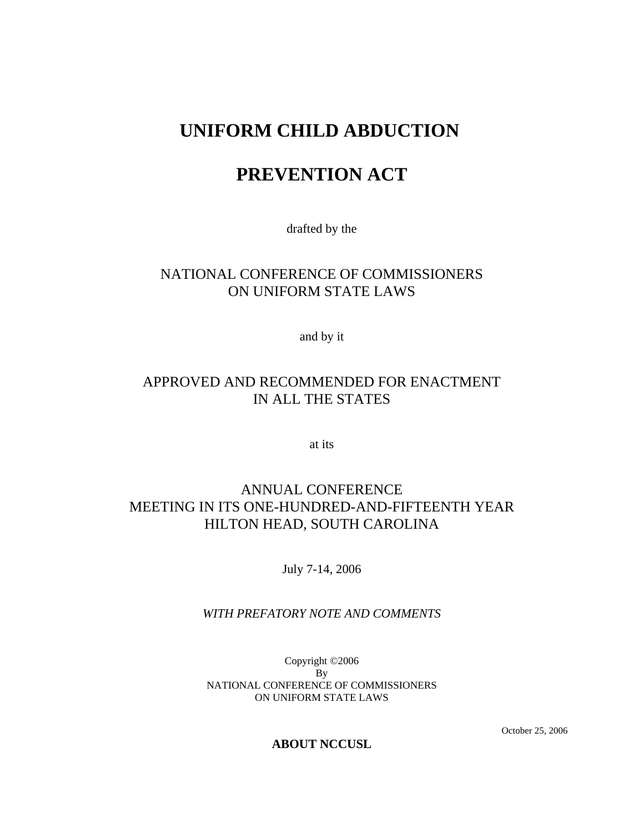# **UNIFORM CHILD ABDUCTION**

# **PREVENTION ACT**

drafted by the

# NATIONAL CONFERENCE OF COMMISSIONERS ON UNIFORM STATE LAWS

and by it

# APPROVED AND RECOMMENDED FOR ENACTMENT IN ALL THE STATES

at its

# ANNUAL CONFERENCE MEETING IN ITS ONE-HUNDRED-AND-FIFTEENTH YEAR HILTON HEAD, SOUTH CAROLINA

July 7-14, 2006

## *WITH PREFATORY NOTE AND COMMENTS*

Copyright ©2006 By NATIONAL CONFERENCE OF COMMISSIONERS ON UNIFORM STATE LAWS

October 25, 2006

### **ABOUT NCCUSL**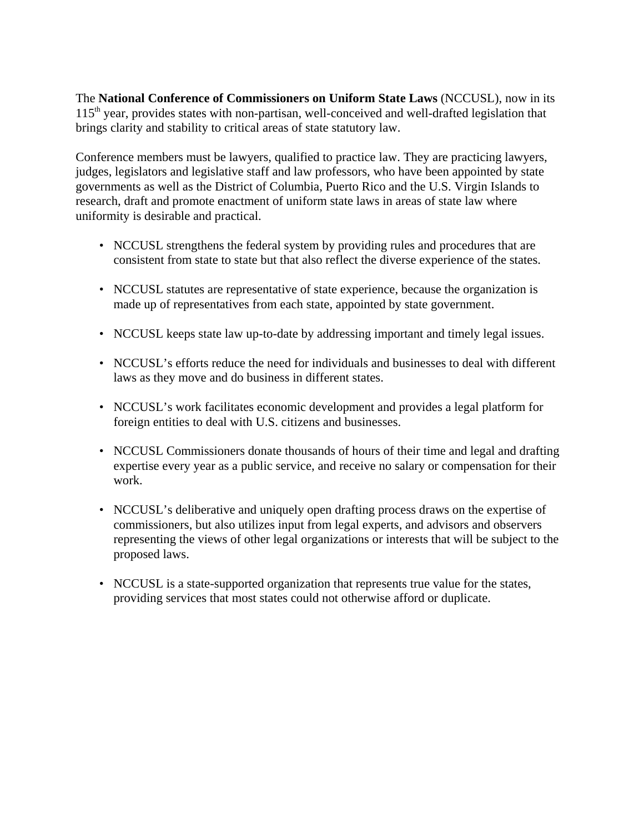The **National Conference of Commissioners on Uniform State Laws** (NCCUSL), now in its  $115<sup>th</sup>$  year, provides states with non-partisan, well-conceived and well-drafted legislation that brings clarity and stability to critical areas of state statutory law.

Conference members must be lawyers, qualified to practice law. They are practicing lawyers, judges, legislators and legislative staff and law professors, who have been appointed by state governments as well as the District of Columbia, Puerto Rico and the U.S. Virgin Islands to research, draft and promote enactment of uniform state laws in areas of state law where uniformity is desirable and practical.

- NCCUSL strengthens the federal system by providing rules and procedures that are consistent from state to state but that also reflect the diverse experience of the states.
- NCCUSL statutes are representative of state experience, because the organization is made up of representatives from each state, appointed by state government.
- NCCUSL keeps state law up-to-date by addressing important and timely legal issues.
- NCCUSL's efforts reduce the need for individuals and businesses to deal with different laws as they move and do business in different states.
- NCCUSL's work facilitates economic development and provides a legal platform for foreign entities to deal with U.S. citizens and businesses.
- NCCUSL Commissioners donate thousands of hours of their time and legal and drafting expertise every year as a public service, and receive no salary or compensation for their work.
- NCCUSL's deliberative and uniquely open drafting process draws on the expertise of commissioners, but also utilizes input from legal experts, and advisors and observers representing the views of other legal organizations or interests that will be subject to the proposed laws.
- NCCUSL is a state-supported organization that represents true value for the states, providing services that most states could not otherwise afford or duplicate.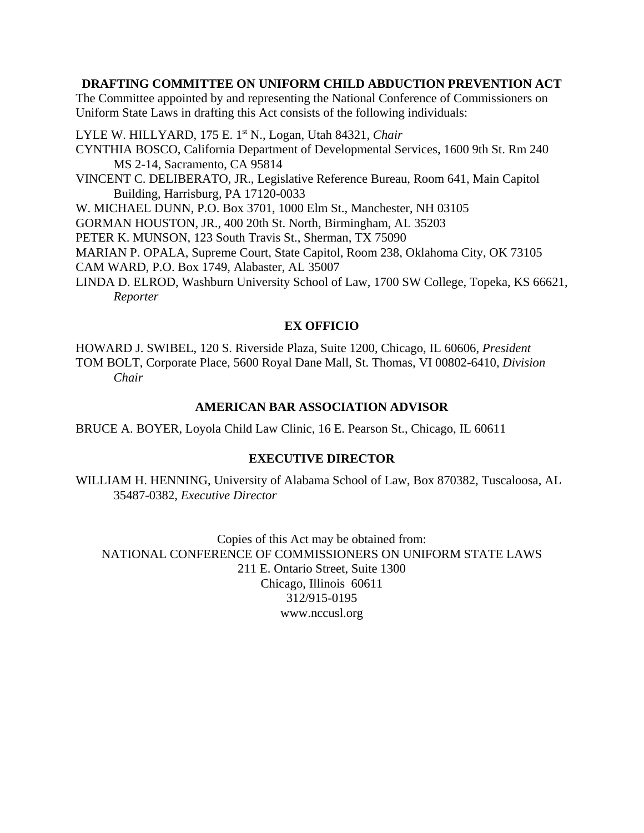### **DRAFTING COMMITTEE ON UNIFORM CHILD ABDUCTION PREVENTION ACT**

The Committee appointed by and representing the National Conference of Commissioners on Uniform State Laws in drafting this Act consists of the following individuals:

LYLE W. HILLYARD, 175 E. 1st N., Logan, Utah 84321, *Chair* CYNTHIA BOSCO, California Department of Developmental Services, 1600 9th St. Rm 240 MS 2-14, Sacramento, CA 95814 VINCENT C. DELIBERATO, JR., Legislative Reference Bureau, Room 641, Main Capitol Building, Harrisburg, PA 17120-0033 W. MICHAEL DUNN, P.O. Box 3701, 1000 Elm St., Manchester, NH 03105 GORMAN HOUSTON, JR., 400 20th St. North, Birmingham, AL 35203 PETER K. MUNSON, 123 South Travis St., Sherman, TX 75090 MARIAN P. OPALA, Supreme Court, State Capitol, Room 238, Oklahoma City, OK 73105 CAM WARD, P.O. Box 1749, Alabaster, AL 35007 LINDA D. ELROD, Washburn University School of Law, 1700 SW College, Topeka, KS 66621, *Reporter*

## **EX OFFICIO**

HOWARD J. SWIBEL, 120 S. Riverside Plaza, Suite 1200, Chicago, IL 60606, *President* TOM BOLT, Corporate Place, 5600 Royal Dane Mall, St. Thomas, VI 00802-6410, *Division Chair*

### **AMERICAN BAR ASSOCIATION ADVISOR**

BRUCE A. BOYER, Loyola Child Law Clinic, 16 E. Pearson St., Chicago, IL 60611

#### **EXECUTIVE DIRECTOR**

WILLIAM H. HENNING, University of Alabama School of Law, Box 870382, Tuscaloosa, AL 35487-0382, *Executive Director*

Copies of this Act may be obtained from: NATIONAL CONFERENCE OF COMMISSIONERS ON UNIFORM STATE LAWS 211 E. Ontario Street, Suite 1300 Chicago, Illinois 60611 312/915-0195 www.nccusl.org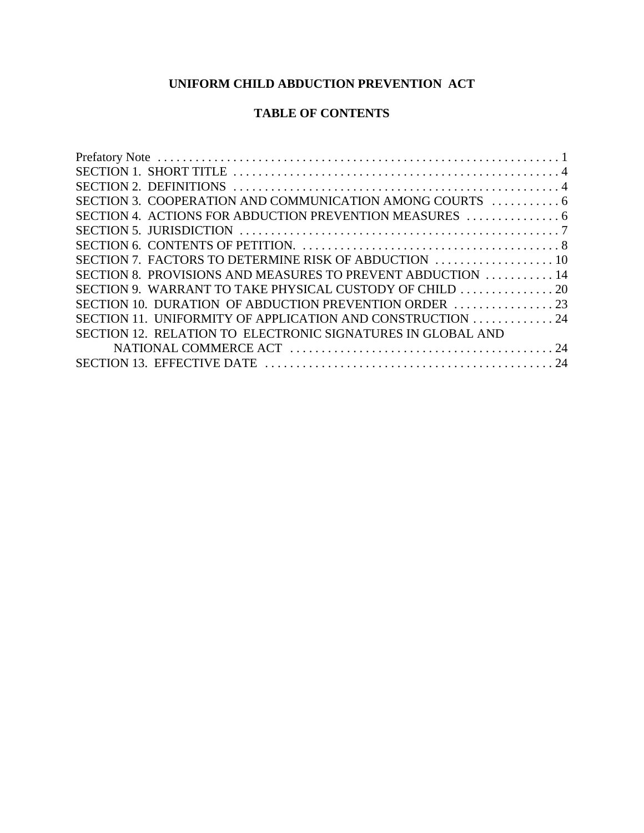# **UNIFORM CHILD ABDUCTION PREVENTION ACT**

# **TABLE OF CONTENTS**

| SECTION 8. PROVISIONS AND MEASURES TO PREVENT ABDUCTION  14 |  |
|-------------------------------------------------------------|--|
|                                                             |  |
|                                                             |  |
| SECTION 11. UNIFORMITY OF APPLICATION AND CONSTRUCTION  24  |  |
| SECTION 12. RELATION TO ELECTRONIC SIGNATURES IN GLOBAL AND |  |
|                                                             |  |
|                                                             |  |
|                                                             |  |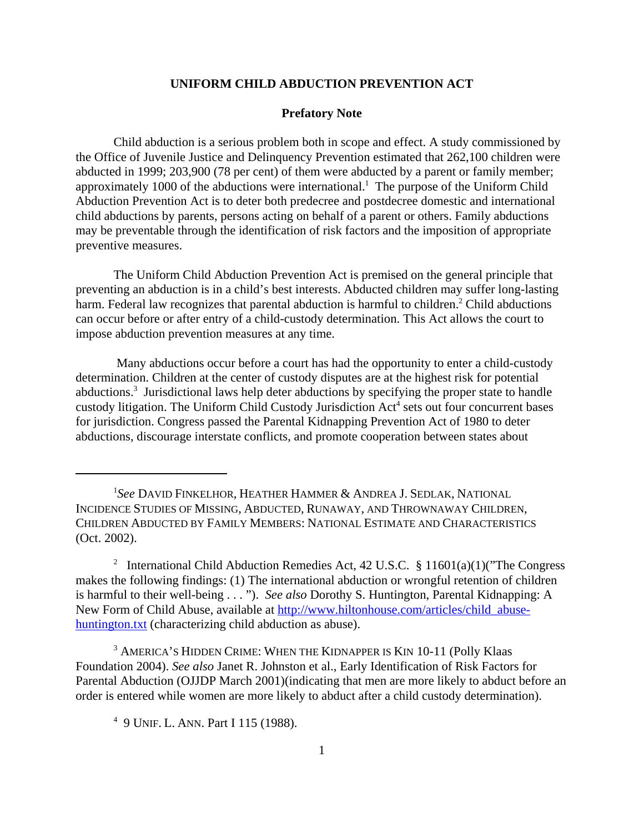#### **UNIFORM CHILD ABDUCTION PREVENTION ACT**

#### **Prefatory Note**

Child abduction is a serious problem both in scope and effect. A study commissioned by the Office of Juvenile Justice and Delinquency Prevention estimated that 262,100 children were abducted in 1999; 203,900 (78 per cent) of them were abducted by a parent or family member; approximately 1000 of the abductions were international.<sup>1</sup> The purpose of the Uniform Child Abduction Prevention Act is to deter both predecree and postdecree domestic and international child abductions by parents, persons acting on behalf of a parent or others. Family abductions may be preventable through the identification of risk factors and the imposition of appropriate preventive measures.

The Uniform Child Abduction Prevention Act is premised on the general principle that preventing an abduction is in a child's best interests. Abducted children may suffer long-lasting harm. Federal law recognizes that parental abduction is harmful to children.<sup>2</sup> Child abductions can occur before or after entry of a child-custody determination. This Act allows the court to impose abduction prevention measures at any time.

 Many abductions occur before a court has had the opportunity to enter a child-custody determination. Children at the center of custody disputes are at the highest risk for potential abductions.<sup>3</sup> Jurisdictional laws help deter abductions by specifying the proper state to handle custody litigation. The Uniform Child Custody Jurisdiction Act<sup>4</sup> sets out four concurrent bases for jurisdiction. Congress passed the Parental Kidnapping Prevention Act of 1980 to deter abductions, discourage interstate conflicts, and promote cooperation between states about

<sup>1</sup> *See* DAVID FINKELHOR, HEATHER HAMMER & ANDREA J. SEDLAK, NATIONAL INCIDENCE STUDIES OF MISSING, ABDUCTED, RUNAWAY, AND THROWNAWAY CHILDREN, CHILDREN ABDUCTED BY FAMILY MEMBERS: NATIONAL ESTIMATE AND CHARACTERISTICS (Oct. 2002).

<sup>&</sup>lt;sup>2</sup> International Child Abduction Remedies Act, 42 U.S.C. § 11601(a)(1)("The Congress makes the following findings: (1) The international abduction or wrongful retention of children is harmful to their well-being . . . "). *See also* Dorothy S. Huntington, Parental Kidnapping: A New Form of Child Abuse, available at http://www.hiltonhouse.com/articles/child\_abusehuntington.txt (characterizing child abduction as abuse).

<sup>&</sup>lt;sup>3</sup> AMERICA'S HIDDEN CRIME: WHEN THE KIDNAPPER IS KIN 10-11 (Polly Klaas Foundation 2004). *See also* Janet R. Johnston et al., Early Identification of Risk Factors for Parental Abduction (OJJDP March 2001)(indicating that men are more likely to abduct before an order is entered while women are more likely to abduct after a child custody determination).

<sup>4</sup> 9 UNIF. L. ANN. Part I 115 (1988).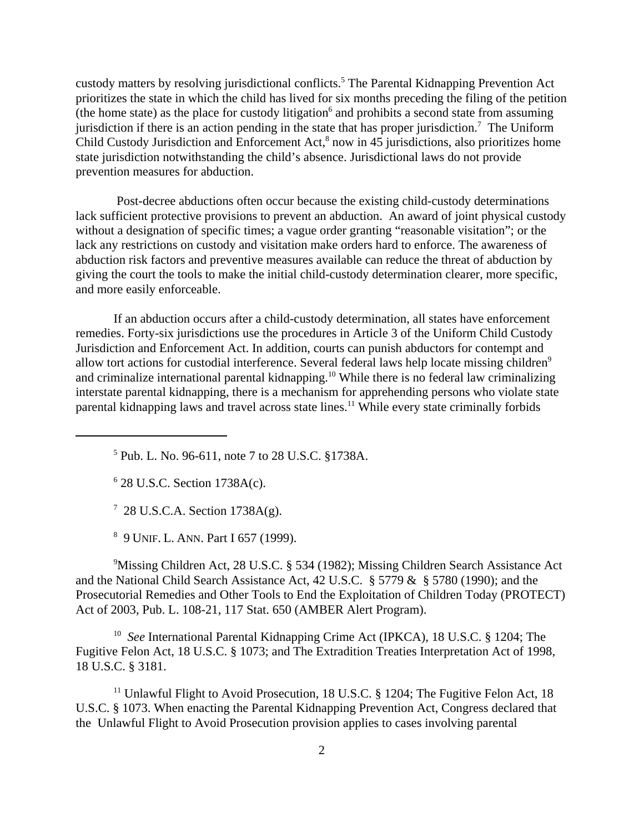custody matters by resolving jurisdictional conflicts.<sup>5</sup> The Parental Kidnapping Prevention Act prioritizes the state in which the child has lived for six months preceding the filing of the petition (the home state) as the place for custody litigation<sup>6</sup> and prohibits a second state from assuming jurisdiction if there is an action pending in the state that has proper jurisdiction.<sup>7</sup> The Uniform Child Custody Jurisdiction and Enforcement Act,<sup>8</sup> now in 45 jurisdictions, also prioritizes home state jurisdiction notwithstanding the child's absence. Jurisdictional laws do not provide prevention measures for abduction.

 Post-decree abductions often occur because the existing child-custody determinations lack sufficient protective provisions to prevent an abduction. An award of joint physical custody without a designation of specific times; a vague order granting "reasonable visitation"; or the lack any restrictions on custody and visitation make orders hard to enforce. The awareness of abduction risk factors and preventive measures available can reduce the threat of abduction by giving the court the tools to make the initial child-custody determination clearer, more specific, and more easily enforceable.

If an abduction occurs after a child-custody determination, all states have enforcement remedies. Forty-six jurisdictions use the procedures in Article 3 of the Uniform Child Custody Jurisdiction and Enforcement Act. In addition, courts can punish abductors for contempt and allow tort actions for custodial interference. Several federal laws help locate missing children<sup>9</sup> and criminalize international parental kidnapping.<sup>10</sup> While there is no federal law criminalizing interstate parental kidnapping, there is a mechanism for apprehending persons who violate state parental kidnapping laws and travel across state lines.<sup>11</sup> While every state criminally forbids

6 28 U.S.C. Section 1738A(c).

7 28 U.S.C.A. Section 1738A(g).

8 9 UNIF. L. ANN. Part I 657 (1999).

<sup>9</sup>Missing Children Act, 28 U.S.C. § 534 (1982); Missing Children Search Assistance Act and the National Child Search Assistance Act, 42 U.S.C. § 5779 & § 5780 (1990); and the Prosecutorial Remedies and Other Tools to End the Exploitation of Children Today (PROTECT) Act of 2003, Pub. L. 108-21, 117 Stat. 650 (AMBER Alert Program).

10 *See* International Parental Kidnapping Crime Act (IPKCA), 18 U.S.C. § 1204; The Fugitive Felon Act, 18 U.S.C. § 1073; and The Extradition Treaties Interpretation Act of 1998, 18 U.S.C. § 3181.

<sup>11</sup> Unlawful Flight to Avoid Prosecution, 18 U.S.C. § 1204; The Fugitive Felon Act, 18 U.S.C. § 1073. When enacting the Parental Kidnapping Prevention Act, Congress declared that the Unlawful Flight to Avoid Prosecution provision applies to cases involving parental

<sup>5</sup> Pub. L. No. 96-611, note 7 to 28 U.S.C. §1738A.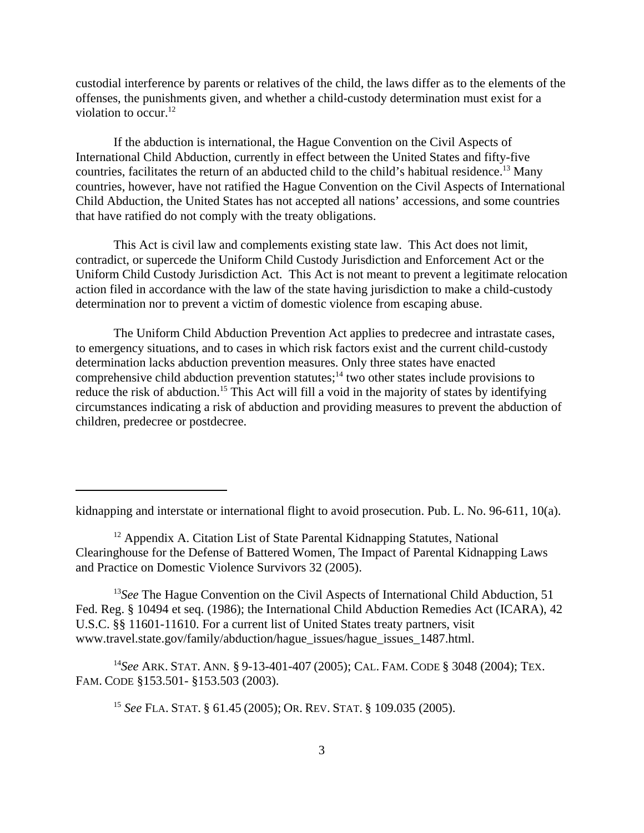custodial interference by parents or relatives of the child, the laws differ as to the elements of the offenses, the punishments given, and whether a child-custody determination must exist for a violation to occur. $^{12}$ 

If the abduction is international, the Hague Convention on the Civil Aspects of International Child Abduction, currently in effect between the United States and fifty-five countries, facilitates the return of an abducted child to the child's habitual residence.<sup>13</sup> Many countries, however, have not ratified the Hague Convention on the Civil Aspects of International Child Abduction, the United States has not accepted all nations' accessions, and some countries that have ratified do not comply with the treaty obligations.

This Act is civil law and complements existing state law. This Act does not limit, contradict, or supercede the Uniform Child Custody Jurisdiction and Enforcement Act or the Uniform Child Custody Jurisdiction Act. This Act is not meant to prevent a legitimate relocation action filed in accordance with the law of the state having jurisdiction to make a child-custody determination nor to prevent a victim of domestic violence from escaping abuse.

The Uniform Child Abduction Prevention Act applies to predecree and intrastate cases, to emergency situations, and to cases in which risk factors exist and the current child-custody determination lacks abduction prevention measures. Only three states have enacted comprehensive child abduction prevention statutes;<sup>14</sup> two other states include provisions to reduce the risk of abduction.<sup>15</sup> This Act will fill a void in the majority of states by identifying circumstances indicating a risk of abduction and providing measures to prevent the abduction of children, predecree or postdecree.

<sup>13</sup>See The Hague Convention on the Civil Aspects of International Child Abduction, 51 Fed. Reg. § 10494 et seq. (1986); the International Child Abduction Remedies Act (ICARA), 42 U.S.C. §§ 11601-11610. For a current list of United States treaty partners, visit www.travel.state.gov/family/abduction/hague\_issues/hague\_issues\_1487.html.

<sup>14</sup>*See* ARK. STAT. ANN. § 9-13-401-407 (2005); CAL. FAM. CODE § 3048 (2004); TEX. FAM. CODE §153.501- §153.503 (2003).

<sup>15</sup> *See* FLA. STAT. § 61.45 (2005); OR. REV. STAT. § 109.035 (2005).

kidnapping and interstate or international flight to avoid prosecution. Pub. L. No. 96-611, 10(a).

 $12$  Appendix A. Citation List of State Parental Kidnapping Statutes, National Clearinghouse for the Defense of Battered Women, The Impact of Parental Kidnapping Laws and Practice on Domestic Violence Survivors 32 (2005).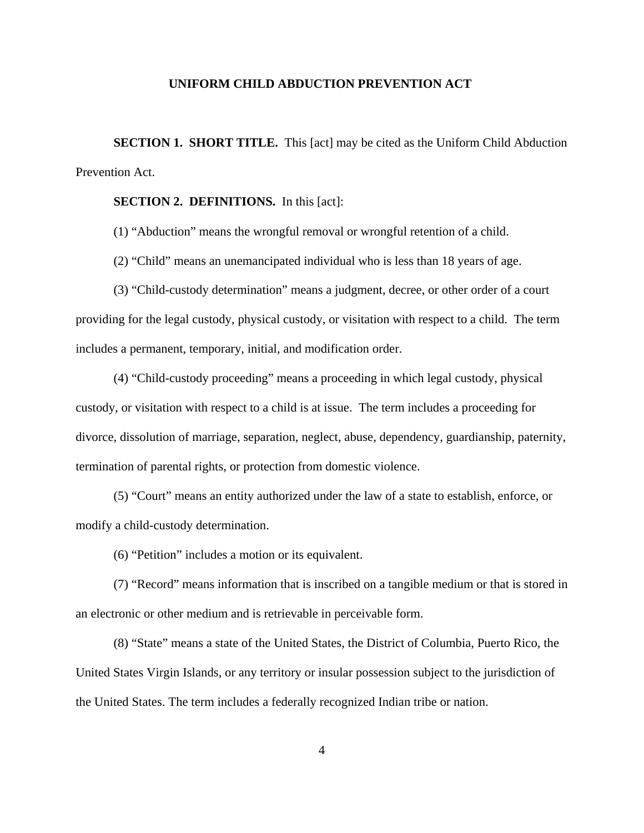#### **UNIFORM CHILD ABDUCTION PREVENTION ACT**

**SECTION 1. SHORT TITLE.** This [act] may be cited as the Uniform Child Abduction Prevention Act.

#### **SECTION 2. DEFINITIONS.** In this [act]:

(1) "Abduction" means the wrongful removal or wrongful retention of a child.

(2) "Child" means an unemancipated individual who is less than 18 years of age.

(3) "Child-custody determination" means a judgment, decree, or other order of a court providing for the legal custody, physical custody, or visitation with respect to a child. The term includes a permanent, temporary, initial, and modification order.

(4) "Child-custody proceeding" means a proceeding in which legal custody, physical custody, or visitation with respect to a child is at issue. The term includes a proceeding for divorce, dissolution of marriage, separation, neglect, abuse, dependency, guardianship, paternity, termination of parental rights, or protection from domestic violence.

(5) "Court" means an entity authorized under the law of a state to establish, enforce, or modify a child-custody determination.

(6) "Petition" includes a motion or its equivalent.

(7) "Record" means information that is inscribed on a tangible medium or that is stored in an electronic or other medium and is retrievable in perceivable form.

(8) "State" means a state of the United States, the District of Columbia, Puerto Rico, the United States Virgin Islands, or any territory or insular possession subject to the jurisdiction of the United States. The term includes a federally recognized Indian tribe or nation.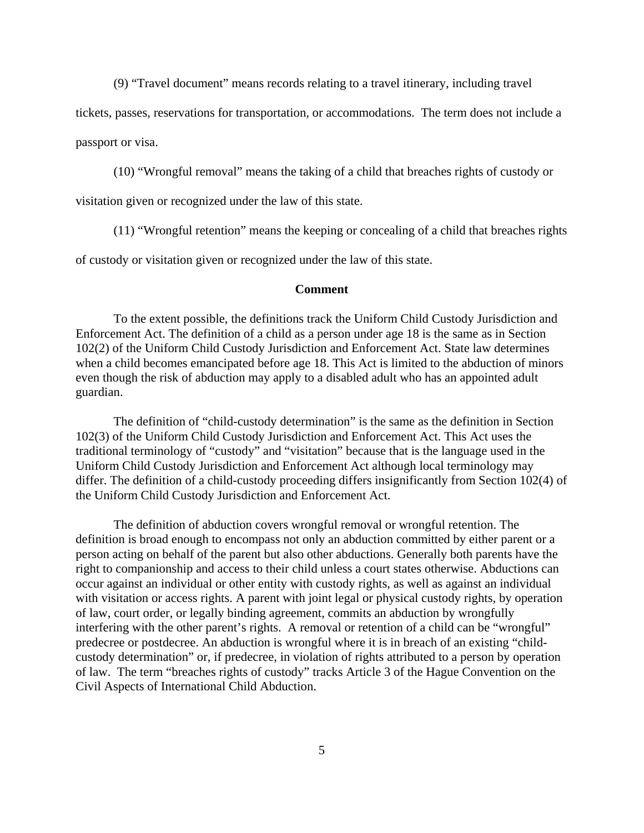(9) "Travel document" means records relating to a travel itinerary, including travel

tickets, passes, reservations for transportation*,* or accommodations. The term does not include a

passport or visa.

(10) "Wrongful removal" means the taking of a child that breaches rights of custody or

visitation given or recognized under the law of this state.

(11) "Wrongful retention" means the keeping or concealing of a child that breaches rights

of custody or visitation given or recognized under the law of this state.

#### **Comment**

To the extent possible, the definitions track the Uniform Child Custody Jurisdiction and Enforcement Act. The definition of a child as a person under age 18 is the same as in Section 102(2) of the Uniform Child Custody Jurisdiction and Enforcement Act. State law determines when a child becomes emancipated before age 18. This Act is limited to the abduction of minors even though the risk of abduction may apply to a disabled adult who has an appointed adult guardian.

The definition of "child-custody determination" is the same as the definition in Section 102(3) of the Uniform Child Custody Jurisdiction and Enforcement Act. This Act uses the traditional terminology of "custody" and "visitation" because that is the language used in the Uniform Child Custody Jurisdiction and Enforcement Act although local terminology may differ. The definition of a child-custody proceeding differs insignificantly from Section 102(4) of the Uniform Child Custody Jurisdiction and Enforcement Act.

The definition of abduction covers wrongful removal or wrongful retention. The definition is broad enough to encompass not only an abduction committed by either parent or a person acting on behalf of the parent but also other abductions. Generally both parents have the right to companionship and access to their child unless a court states otherwise. Abductions can occur against an individual or other entity with custody rights, as well as against an individual with visitation or access rights. A parent with joint legal or physical custody rights, by operation of law, court order, or legally binding agreement, commits an abduction by wrongfully interfering with the other parent's rights. A removal or retention of a child can be "wrongful" predecree or postdecree. An abduction is wrongful where it is in breach of an existing "childcustody determination" or, if predecree, in violation of rights attributed to a person by operation of law. The term "breaches rights of custody" tracks Article 3 of the Hague Convention on the Civil Aspects of International Child Abduction.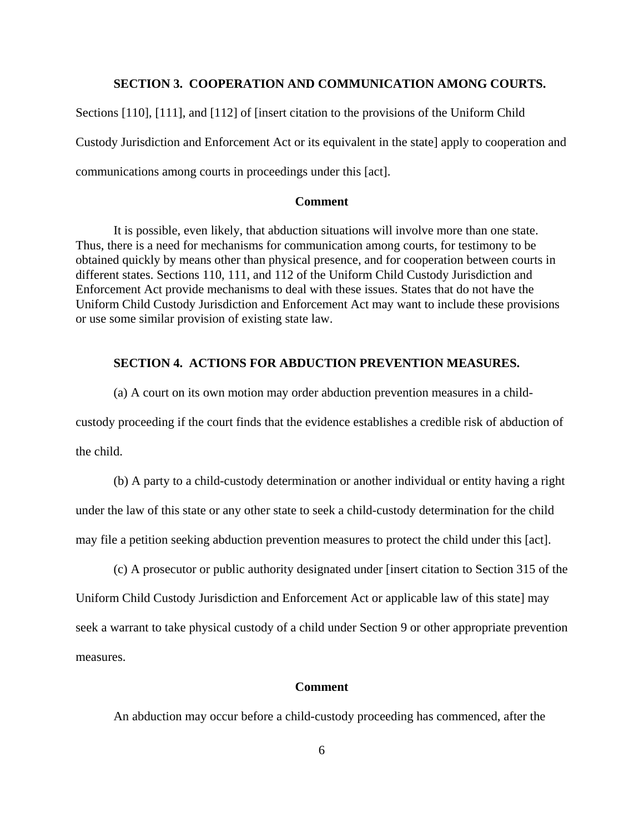#### **SECTION 3. COOPERATION AND COMMUNICATION AMONG COURTS.**

Sections [110], [111], and [112] of [insert citation to the provisions of the Uniform Child Custody Jurisdiction and Enforcement Act or its equivalent in the state] apply to cooperation and communications among courts in proceedings under this [act].

#### **Comment**

It is possible, even likely, that abduction situations will involve more than one state. Thus, there is a need for mechanisms for communication among courts, for testimony to be obtained quickly by means other than physical presence, and for cooperation between courts in different states. Sections 110, 111, and 112 of the Uniform Child Custody Jurisdiction and Enforcement Act provide mechanisms to deal with these issues. States that do not have the Uniform Child Custody Jurisdiction and Enforcement Act may want to include these provisions or use some similar provision of existing state law.

#### **SECTION 4. ACTIONS FOR ABDUCTION PREVENTION MEASURES.**

(a) A court on its own motion may order abduction prevention measures in a childcustody proceeding if the court finds that the evidence establishes a credible risk of abduction of the child.

(b) A party to a child-custody determination or another individual or entity having a right under the law of this state or any other state to seek a child-custody determination for the child may file a petition seeking abduction prevention measures to protect the child under this [act].

(c) A prosecutor or public authority designated under [insert citation to Section 315 of the Uniform Child Custody Jurisdiction and Enforcement Act or applicable law of this state] may seek a warrant to take physical custody of a child under Section 9 or other appropriate prevention measures.

#### **Comment**

An abduction may occur before a child-custody proceeding has commenced, after the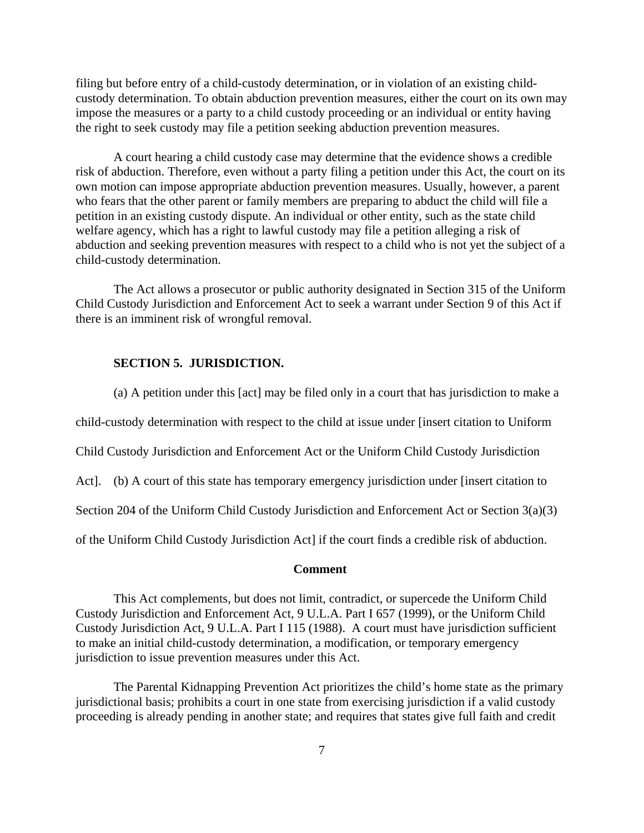filing but before entry of a child-custody determination, or in violation of an existing childcustody determination. To obtain abduction prevention measures, either the court on its own may impose the measures or a party to a child custody proceeding or an individual or entity having the right to seek custody may file a petition seeking abduction prevention measures.

A court hearing a child custody case may determine that the evidence shows a credible risk of abduction. Therefore, even without a party filing a petition under this Act, the court on its own motion can impose appropriate abduction prevention measures. Usually, however, a parent who fears that the other parent or family members are preparing to abduct the child will file a petition in an existing custody dispute. An individual or other entity, such as the state child welfare agency, which has a right to lawful custody may file a petition alleging a risk of abduction and seeking prevention measures with respect to a child who is not yet the subject of a child-custody determination.

The Act allows a prosecutor or public authority designated in Section 315 of the Uniform Child Custody Jurisdiction and Enforcement Act to seek a warrant under Section 9 of this Act if there is an imminent risk of wrongful removal.

#### **SECTION 5. JURISDICTION.**

(a) A petition under this [act] may be filed only in a court that has jurisdiction to make a child-custody determination with respect to the child at issue under [insert citation to Uniform Child Custody Jurisdiction and Enforcement Act or the Uniform Child Custody Jurisdiction Act]. (b) A court of this state has temporary emergency jurisdiction under [insert citation to Section 204 of the Uniform Child Custody Jurisdiction and Enforcement Act or Section 3(a)(3) of the Uniform Child Custody Jurisdiction Act] if the court finds a credible risk of abduction.

#### **Comment**

This Act complements, but does not limit, contradict, or supercede the Uniform Child Custody Jurisdiction and Enforcement Act, 9 U.L.A. Part I 657 (1999), or the Uniform Child Custody Jurisdiction Act, 9 U.L.A. Part I 115 (1988). A court must have jurisdiction sufficient to make an initial child-custody determination, a modification, or temporary emergency jurisdiction to issue prevention measures under this Act.

The Parental Kidnapping Prevention Act prioritizes the child's home state as the primary jurisdictional basis; prohibits a court in one state from exercising jurisdiction if a valid custody proceeding is already pending in another state; and requires that states give full faith and credit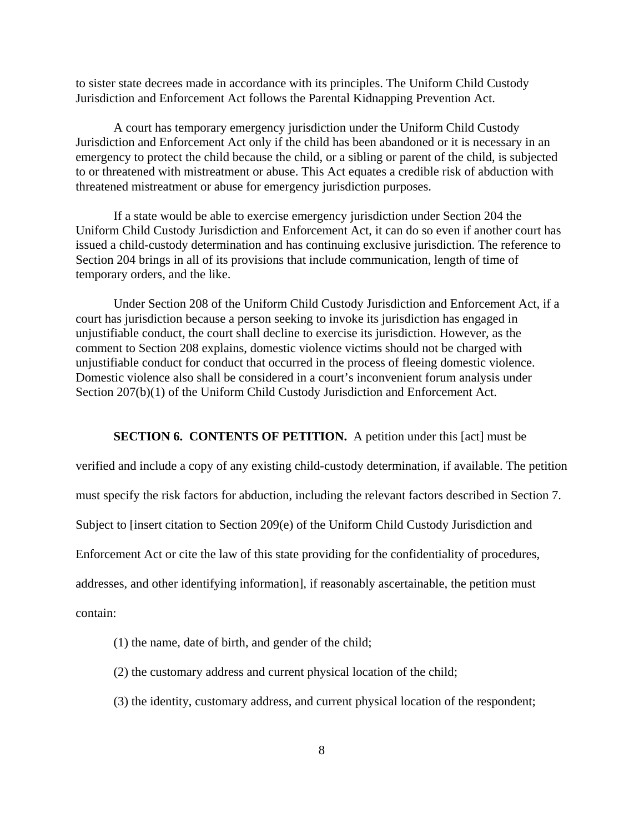to sister state decrees made in accordance with its principles. The Uniform Child Custody Jurisdiction and Enforcement Act follows the Parental Kidnapping Prevention Act.

A court has temporary emergency jurisdiction under the Uniform Child Custody Jurisdiction and Enforcement Act only if the child has been abandoned or it is necessary in an emergency to protect the child because the child, or a sibling or parent of the child, is subjected to or threatened with mistreatment or abuse. This Act equates a credible risk of abduction with threatened mistreatment or abuse for emergency jurisdiction purposes.

If a state would be able to exercise emergency jurisdiction under Section 204 the Uniform Child Custody Jurisdiction and Enforcement Act, it can do so even if another court has issued a child-custody determination and has continuing exclusive jurisdiction. The reference to Section 204 brings in all of its provisions that include communication, length of time of temporary orders, and the like.

Under Section 208 of the Uniform Child Custody Jurisdiction and Enforcement Act, if a court has jurisdiction because a person seeking to invoke its jurisdiction has engaged in unjustifiable conduct, the court shall decline to exercise its jurisdiction. However, as the comment to Section 208 explains, domestic violence victims should not be charged with unjustifiable conduct for conduct that occurred in the process of fleeing domestic violence. Domestic violence also shall be considered in a court's inconvenient forum analysis under Section 207(b)(1) of the Uniform Child Custody Jurisdiction and Enforcement Act.

#### **SECTION 6. CONTENTS OF PETITION.** A petition under this [act] must be

verified and include a copy of any existing child-custody determination, if available. The petition must specify the risk factors for abduction, including the relevant factors described in Section 7. Subject to [insert citation to Section 209(e) of the Uniform Child Custody Jurisdiction and Enforcement Act or cite the law of this state providing for the confidentiality of procedures, addresses, and other identifying information], if reasonably ascertainable, the petition must contain:

- (1) the name, date of birth, and gender of the child;
- (2) the customary address and current physical location of the child;
- (3) the identity, customary address, and current physical location of the respondent;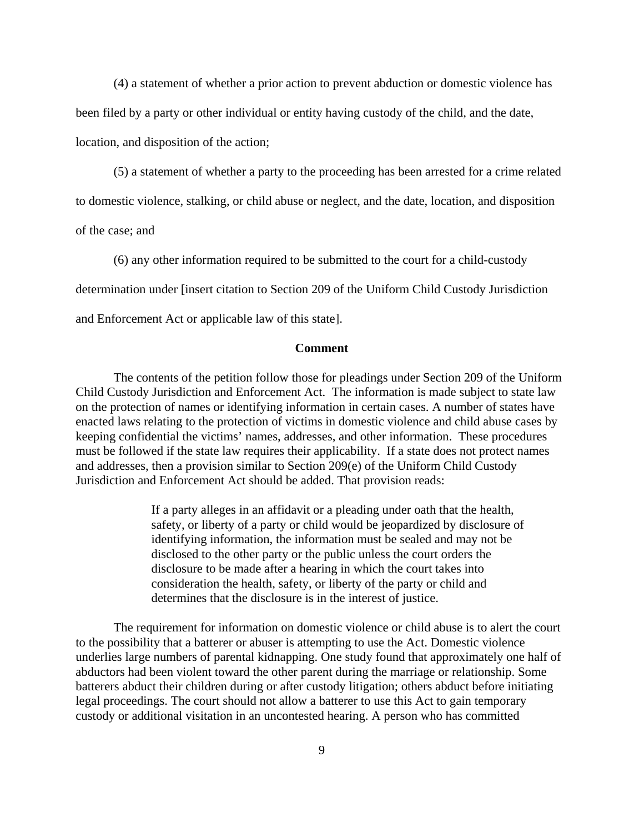(4) a statement of whether a prior action to prevent abduction or domestic violence has been filed by a party or other individual or entity having custody of the child, and the date,

location, and disposition of the action;

(5) a statement of whether a party to the proceeding has been arrested for a crime related

to domestic violence, stalking, or child abuse or neglect, and the date, location, and disposition

of the case; and

(6) any other information required to be submitted to the court for a child-custody determination under [insert citation to Section 209 of the Uniform Child Custody Jurisdiction and Enforcement Act or applicable law of this state].

#### **Comment**

The contents of the petition follow those for pleadings under Section 209 of the Uniform Child Custody Jurisdiction and Enforcement Act. The information is made subject to state law on the protection of names or identifying information in certain cases. A number of states have enacted laws relating to the protection of victims in domestic violence and child abuse cases by keeping confidential the victims' names, addresses, and other information. These procedures must be followed if the state law requires their applicability. If a state does not protect names and addresses, then a provision similar to Section 209(e) of the Uniform Child Custody Jurisdiction and Enforcement Act should be added. That provision reads:

> If a party alleges in an affidavit or a pleading under oath that the health, safety, or liberty of a party or child would be jeopardized by disclosure of identifying information, the information must be sealed and may not be disclosed to the other party or the public unless the court orders the disclosure to be made after a hearing in which the court takes into consideration the health, safety, or liberty of the party or child and determines that the disclosure is in the interest of justice.

The requirement for information on domestic violence or child abuse is to alert the court to the possibility that a batterer or abuser is attempting to use the Act. Domestic violence underlies large numbers of parental kidnapping. One study found that approximately one half of abductors had been violent toward the other parent during the marriage or relationship. Some batterers abduct their children during or after custody litigation; others abduct before initiating legal proceedings. The court should not allow a batterer to use this Act to gain temporary custody or additional visitation in an uncontested hearing. A person who has committed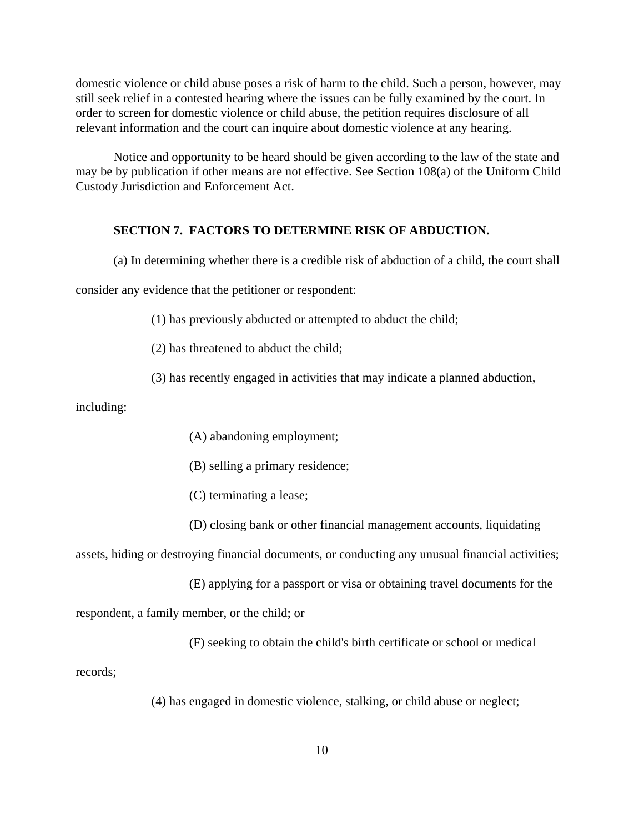domestic violence or child abuse poses a risk of harm to the child. Such a person, however, may still seek relief in a contested hearing where the issues can be fully examined by the court. In order to screen for domestic violence or child abuse, the petition requires disclosure of all relevant information and the court can inquire about domestic violence at any hearing.

Notice and opportunity to be heard should be given according to the law of the state and may be by publication if other means are not effective. See Section 108(a) of the Uniform Child Custody Jurisdiction and Enforcement Act.

#### **SECTION 7. FACTORS TO DETERMINE RISK OF ABDUCTION.**

(a) In determining whether there is a credible risk of abduction of a child, the court shall

consider any evidence that the petitioner or respondent:

(1) has previously abducted or attempted to abduct the child;

(2) has threatened to abduct the child;

(3) has recently engaged in activities that may indicate a planned abduction,

including:

(A) abandoning employment;

(B) selling a primary residence;

(C) terminating a lease;

(D) closing bank or other financial management accounts, liquidating

assets, hiding or destroying financial documents, or conducting any unusual financial activities;

(E) applying for a passport or visa or obtaining travel documents for the

respondent, a family member, or the child; or

(F) seeking to obtain the child's birth certificate or school or medical

records;

(4) has engaged in domestic violence, stalking, or child abuse or neglect;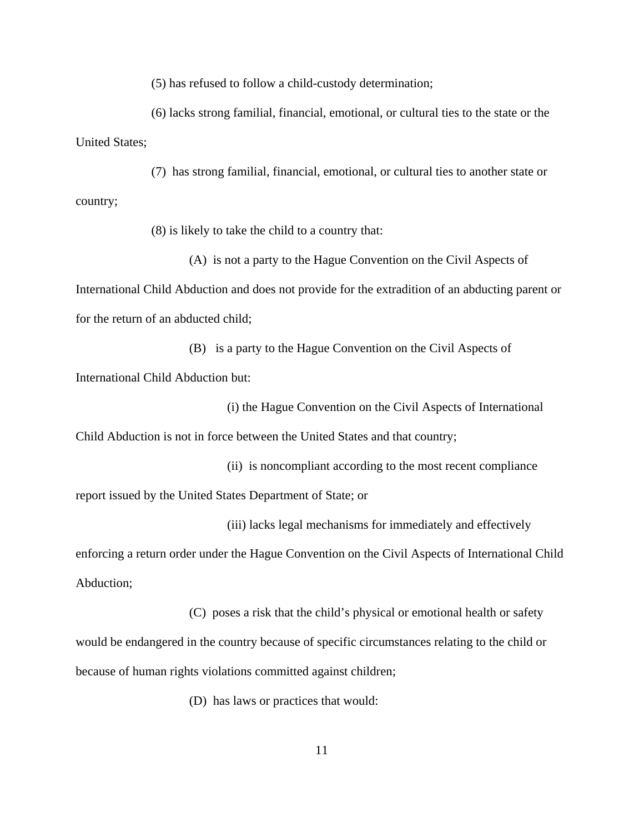(5) has refused to follow a child-custody determination;

(6) lacks strong familial, financial, emotional, or cultural ties to the state or the United States;

(7) has strong familial, financial, emotional, or cultural ties to another state or country;

(8) is likely to take the child to a country that:

(A) is not a party to the Hague Convention on the Civil Aspects of International Child Abduction and does not provide for the extradition of an abducting parent or for the return of an abducted child;

(B) is a party to the Hague Convention on the Civil Aspects of International Child Abduction but:

(i) the Hague Convention on the Civil Aspects of International

Child Abduction is not in force between the United States and that country;

(ii) is noncompliant according to the most recent compliance report issued by the United States Department of State; or

(iii) lacks legal mechanisms for immediately and effectively

enforcing a return order under the Hague Convention on the Civil Aspects of International Child Abduction;

(C) poses a risk that the child's physical or emotional health or safety would be endangered in the country because of specific circumstances relating to the child or because of human rights violations committed against children;

(D) has laws or practices that would: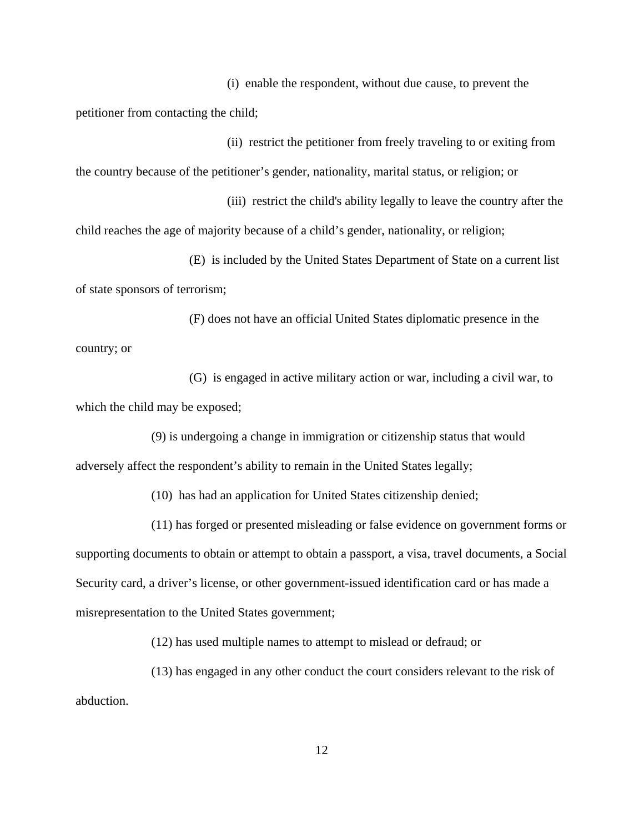(i) enable the respondent, without due cause, to prevent the petitioner from contacting the child;

(ii) restrict the petitioner from freely traveling to or exiting from the country because of the petitioner's gender, nationality, marital status, or religion; or

(iii) restrict the child's ability legally to leave the country after the child reaches the age of majority because of a child's gender, nationality, or religion;

(E) is included by the United States Department of State on a current list of state sponsors of terrorism;

(F) does not have an official United States diplomatic presence in the country; or

(G) is engaged in active military action or war, including a civil war, to which the child may be exposed;

(9) is undergoing a change in immigration or citizenship status that would adversely affect the respondent's ability to remain in the United States legally;

(10) has had an application for United States citizenship denied;

(11) has forged or presented misleading or false evidence on government forms or

supporting documents to obtain or attempt to obtain a passport, a visa, travel documents, a Social Security card, a driver's license, or other government-issued identification card or has made a misrepresentation to the United States government;

(12) has used multiple names to attempt to mislead or defraud; or

(13) has engaged in any other conduct the court considers relevant to the risk of abduction.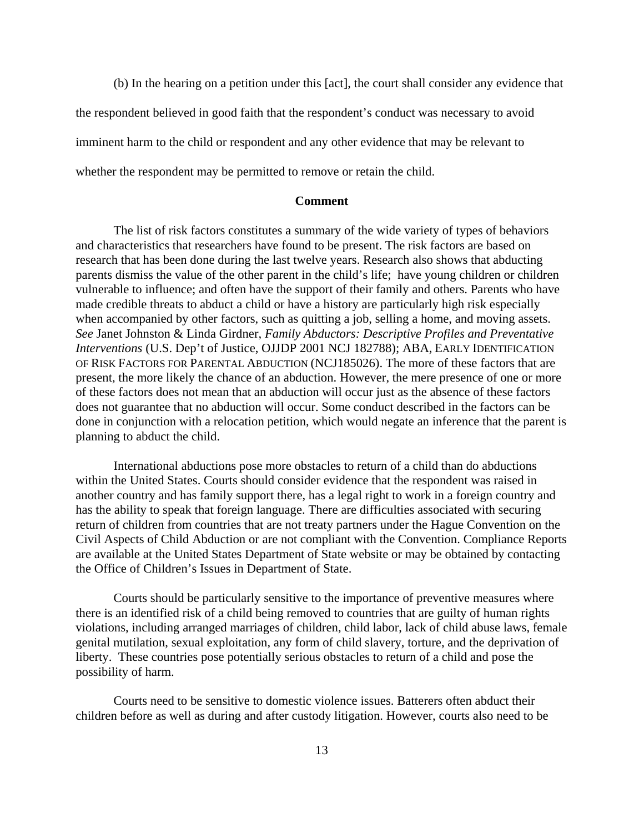(b) In the hearing on a petition under this [act], the court shall consider any evidence that

the respondent believed in good faith that the respondent's conduct was necessary to avoid

imminent harm to the child or respondent and any other evidence that may be relevant to

whether the respondent may be permitted to remove or retain the child.

#### **Comment**

The list of risk factors constitutes a summary of the wide variety of types of behaviors and characteristics that researchers have found to be present. The risk factors are based on research that has been done during the last twelve years. Research also shows that abducting parents dismiss the value of the other parent in the child's life; have young children or children vulnerable to influence; and often have the support of their family and others. Parents who have made credible threats to abduct a child or have a history are particularly high risk especially when accompanied by other factors, such as quitting a job, selling a home, and moving assets. *See* Janet Johnston & Linda Girdner, *Family Abductors: Descriptive Profiles and Preventative Interventions* (U.S. Dep't of Justice, OJJDP 2001 NCJ 182788); ABA, EARLY IDENTIFICATION OF RISK FACTORS FOR PARENTAL ABDUCTION (NCJ185026). The more of these factors that are present, the more likely the chance of an abduction. However, the mere presence of one or more of these factors does not mean that an abduction will occur just as the absence of these factors does not guarantee that no abduction will occur. Some conduct described in the factors can be done in conjunction with a relocation petition, which would negate an inference that the parent is planning to abduct the child.

International abductions pose more obstacles to return of a child than do abductions within the United States. Courts should consider evidence that the respondent was raised in another country and has family support there, has a legal right to work in a foreign country and has the ability to speak that foreign language. There are difficulties associated with securing return of children from countries that are not treaty partners under the Hague Convention on the Civil Aspects of Child Abduction or are not compliant with the Convention. Compliance Reports are available at the United States Department of State website or may be obtained by contacting the Office of Children's Issues in Department of State.

Courts should be particularly sensitive to the importance of preventive measures where there is an identified risk of a child being removed to countries that are guilty of human rights violations, including arranged marriages of children, child labor, lack of child abuse laws, female genital mutilation, sexual exploitation, any form of child slavery, torture, and the deprivation of liberty. These countries pose potentially serious obstacles to return of a child and pose the possibility of harm.

Courts need to be sensitive to domestic violence issues. Batterers often abduct their children before as well as during and after custody litigation. However, courts also need to be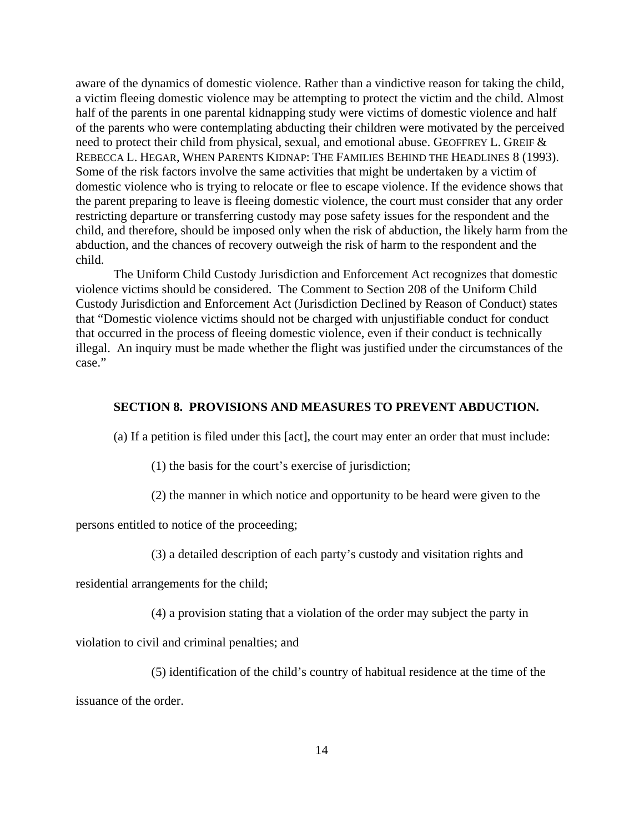aware of the dynamics of domestic violence. Rather than a vindictive reason for taking the child, a victim fleeing domestic violence may be attempting to protect the victim and the child. Almost half of the parents in one parental kidnapping study were victims of domestic violence and half of the parents who were contemplating abducting their children were motivated by the perceived need to protect their child from physical, sexual, and emotional abuse. GEOFFREY L. GREIF & REBECCA L. HEGAR, WHEN PARENTS KIDNAP: THE FAMILIES BEHIND THE HEADLINES 8 (1993). Some of the risk factors involve the same activities that might be undertaken by a victim of domestic violence who is trying to relocate or flee to escape violence. If the evidence shows that the parent preparing to leave is fleeing domestic violence, the court must consider that any order restricting departure or transferring custody may pose safety issues for the respondent and the child, and therefore, should be imposed only when the risk of abduction, the likely harm from the abduction, and the chances of recovery outweigh the risk of harm to the respondent and the child.

The Uniform Child Custody Jurisdiction and Enforcement Act recognizes that domestic violence victims should be considered. The Comment to Section 208 of the Uniform Child Custody Jurisdiction and Enforcement Act (Jurisdiction Declined by Reason of Conduct) states that "Domestic violence victims should not be charged with unjustifiable conduct for conduct that occurred in the process of fleeing domestic violence, even if their conduct is technically illegal. An inquiry must be made whether the flight was justified under the circumstances of the case."

#### **SECTION 8. PROVISIONS AND MEASURES TO PREVENT ABDUCTION.**

(a) If a petition is filed under this [act], the court may enter an order that must include:

(1) the basis for the court's exercise of jurisdiction;

(2) the manner in which notice and opportunity to be heard were given to the

persons entitled to notice of the proceeding;

```
(3) a detailed description of each party's custody and visitation rights and
```
residential arrangements for the child;

(4) a provision stating that a violation of the order may subject the party in

violation to civil and criminal penalties; and

(5) identification of the child's country of habitual residence at the time of the

issuance of the order.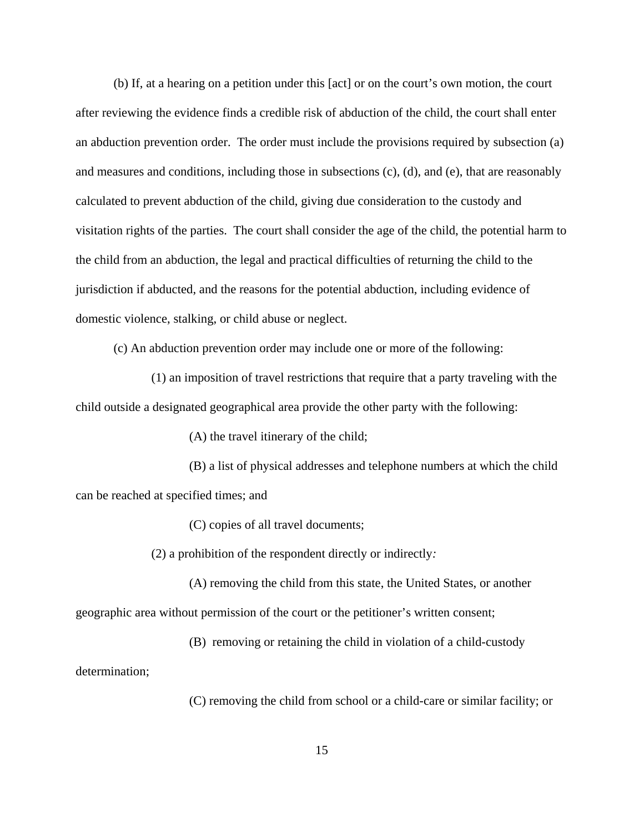(b) If, at a hearing on a petition under this [act] or on the court's own motion, the court after reviewing the evidence finds a credible risk of abduction of the child, the court shall enter an abduction prevention order. The order must include the provisions required by subsection (a) and measures and conditions, including those in subsections (c), (d), and (e), that are reasonably calculated to prevent abduction of the child, giving due consideration to the custody and visitation rights of the parties. The court shall consider the age of the child, the potential harm to the child from an abduction, the legal and practical difficulties of returning the child to the jurisdiction if abducted, and the reasons for the potential abduction, including evidence of domestic violence, stalking, or child abuse or neglect.

(c) An abduction prevention order may include one or more of the following:

(1) an imposition of travel restrictions that require that a party traveling with the child outside a designated geographical area provide the other party with the following:

(A) the travel itinerary of the child;

(B) a list of physical addresses and telephone numbers at which the child can be reached at specified times; and

(C) copies of all travel documents;

(2) a prohibition of the respondent directly or indirectly*:*

(A) removing the child from this state, the United States, or another geographic area without permission of the court or the petitioner's written consent;

(B) removing or retaining the child in violation of a child-custody

determination;

(C) removing the child from school or a child-care or similar facility; or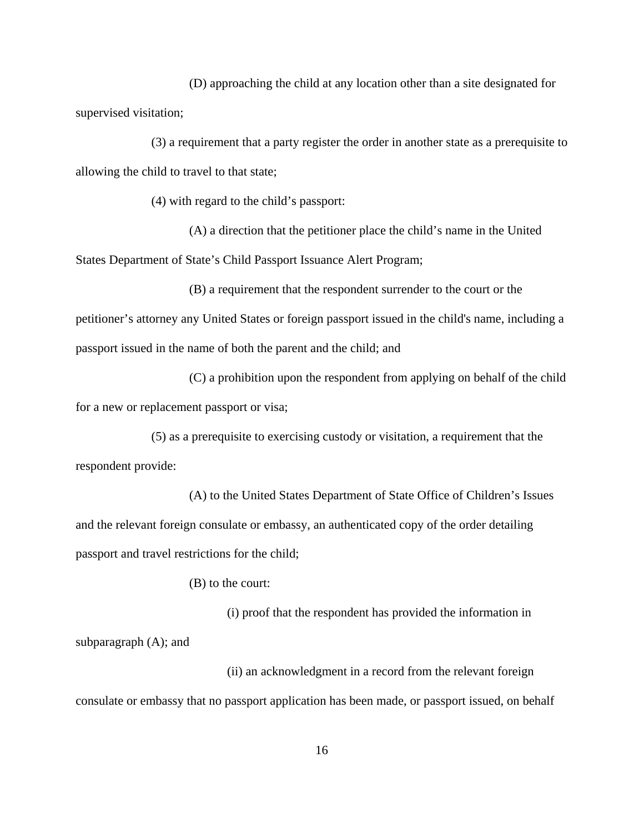(D) approaching the child at any location other than a site designated for supervised visitation;

(3) a requirement that a party register the order in another state as a prerequisite to allowing the child to travel to that state;

(4) with regard to the child's passport:

(A) a direction that the petitioner place the child's name in the United States Department of State's Child Passport Issuance Alert Program;

(B) a requirement that the respondent surrender to the court or the petitioner's attorney any United States or foreign passport issued in the child's name, including a passport issued in the name of both the parent and the child; and

(C) a prohibition upon the respondent from applying on behalf of the child for a new or replacement passport or visa;

(5) as a prerequisite to exercising custody or visitation, a requirement that the respondent provide:

(A) to the United States Department of State Office of Children's Issues and the relevant foreign consulate or embassy, an authenticated copy of the order detailing passport and travel restrictions for the child;

(B) to the court:

(i) proof that the respondent has provided the information in subparagraph (A); and

(ii) an acknowledgment in a record from the relevant foreign consulate or embassy that no passport application has been made, or passport issued, on behalf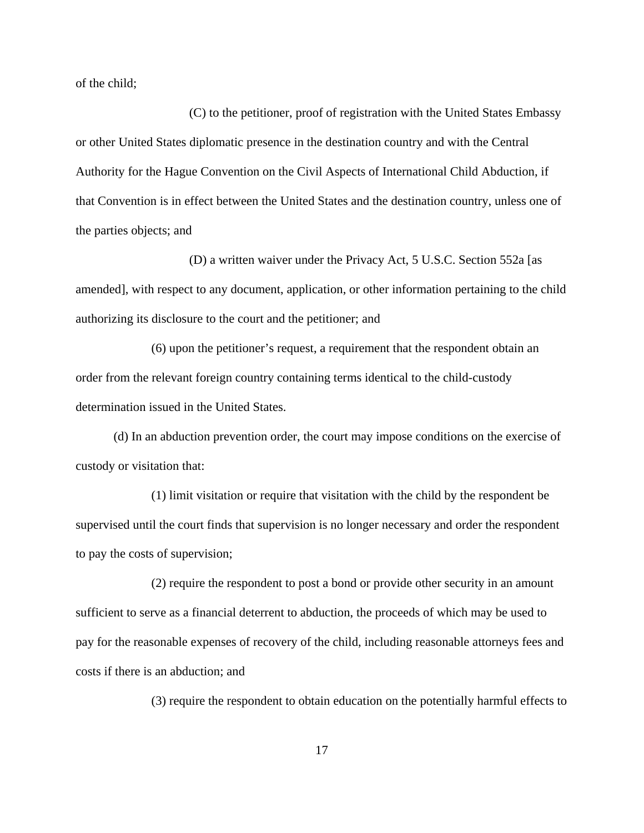of the child;

(C) to the petitioner, proof of registration with the United States Embassy or other United States diplomatic presence in the destination country and with the Central Authority for the Hague Convention on the Civil Aspects of International Child Abduction, if that Convention is in effect between the United States and the destination country, unless one of the parties objects; and

(D) a written waiver under the Privacy Act, 5 U.S.C. Section 552a [as amended], with respect to any document, application, or other information pertaining to the child authorizing its disclosure to the court and the petitioner; and

(6) upon the petitioner's request, a requirement that the respondent obtain an order from the relevant foreign country containing terms identical to the child-custody determination issued in the United States.

(d) In an abduction prevention order, the court may impose conditions on the exercise of custody or visitation that:

(1) limit visitation or require that visitation with the child by the respondent be supervised until the court finds that supervision is no longer necessary and order the respondent to pay the costs of supervision;

(2) require the respondent to post a bond or provide other security in an amount sufficient to serve as a financial deterrent to abduction, the proceeds of which may be used to pay for the reasonable expenses of recovery of the child, including reasonable attorneys fees and costs if there is an abduction; and

(3) require the respondent to obtain education on the potentially harmful effects to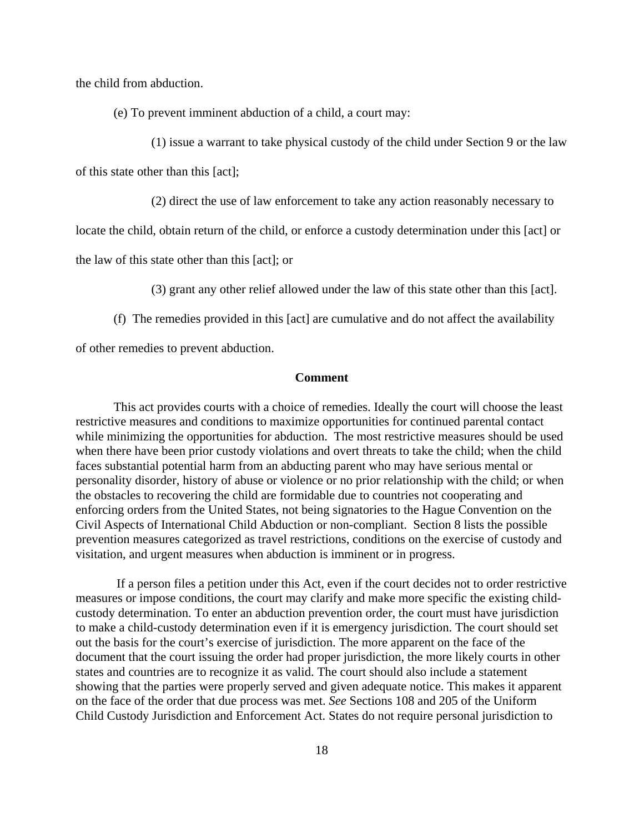the child from abduction.

(e) To prevent imminent abduction of a child, a court may:

(1) issue a warrant to take physical custody of the child under Section 9 or the law

of this state other than this [act];

(2) direct the use of law enforcement to take any action reasonably necessary to

locate the child, obtain return of the child, or enforce a custody determination under this [act] or

the law of this state other than this [act]; or

(3) grant any other relief allowed under the law of this state other than this [act].

(f) The remedies provided in this [act] are cumulative and do not affect the availability

of other remedies to prevent abduction.

#### **Comment**

This act provides courts with a choice of remedies. Ideally the court will choose the least restrictive measures and conditions to maximize opportunities for continued parental contact while minimizing the opportunities for abduction. The most restrictive measures should be used when there have been prior custody violations and overt threats to take the child; when the child faces substantial potential harm from an abducting parent who may have serious mental or personality disorder, history of abuse or violence or no prior relationship with the child; or when the obstacles to recovering the child are formidable due to countries not cooperating and enforcing orders from the United States, not being signatories to the Hague Convention on the Civil Aspects of International Child Abduction or non-compliant. Section 8 lists the possible prevention measures categorized as travel restrictions, conditions on the exercise of custody and visitation, and urgent measures when abduction is imminent or in progress.

 If a person files a petition under this Act, even if the court decides not to order restrictive measures or impose conditions, the court may clarify and make more specific the existing childcustody determination. To enter an abduction prevention order, the court must have jurisdiction to make a child-custody determination even if it is emergency jurisdiction. The court should set out the basis for the court's exercise of jurisdiction. The more apparent on the face of the document that the court issuing the order had proper jurisdiction, the more likely courts in other states and countries are to recognize it as valid. The court should also include a statement showing that the parties were properly served and given adequate notice. This makes it apparent on the face of the order that due process was met. *See* Sections 108 and 205 of the Uniform Child Custody Jurisdiction and Enforcement Act. States do not require personal jurisdiction to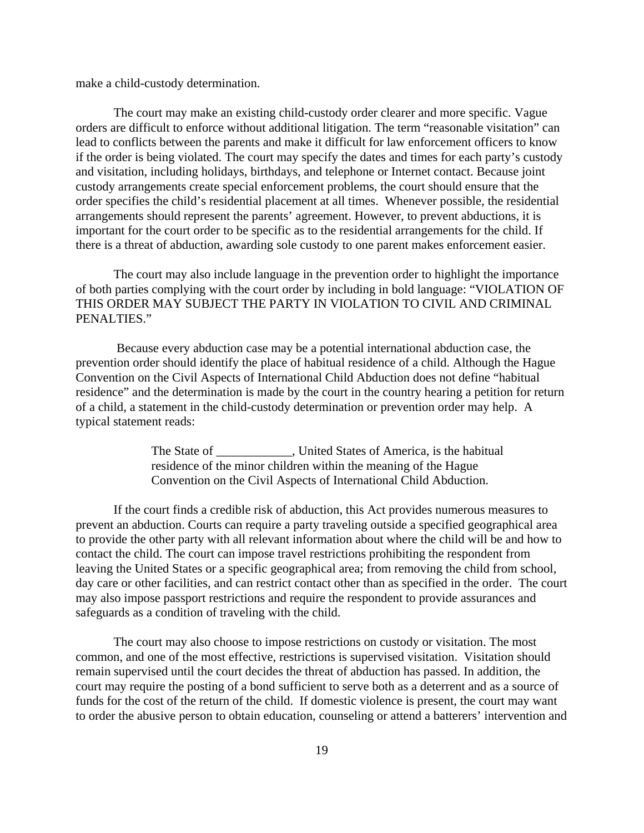make a child-custody determination.

The court may make an existing child-custody order clearer and more specific. Vague orders are difficult to enforce without additional litigation. The term "reasonable visitation" can lead to conflicts between the parents and make it difficult for law enforcement officers to know if the order is being violated. The court may specify the dates and times for each party's custody and visitation, including holidays, birthdays, and telephone or Internet contact. Because joint custody arrangements create special enforcement problems, the court should ensure that the order specifies the child's residential placement at all times. Whenever possible, the residential arrangements should represent the parents' agreement. However, to prevent abductions, it is important for the court order to be specific as to the residential arrangements for the child. If there is a threat of abduction, awarding sole custody to one parent makes enforcement easier.

The court may also include language in the prevention order to highlight the importance of both parties complying with the court order by including in bold language: "VIOLATION OF THIS ORDER MAY SUBJECT THE PARTY IN VIOLATION TO CIVIL AND CRIMINAL PENALTIES."

 Because every abduction case may be a potential international abduction case, the prevention order should identify the place of habitual residence of a child. Although the Hague Convention on the Civil Aspects of International Child Abduction does not define "habitual residence" and the determination is made by the court in the country hearing a petition for return of a child, a statement in the child-custody determination or prevention order may help. A typical statement reads:

> The State of \_\_\_\_\_\_\_\_\_\_\_\_, United States of America, is the habitual residence of the minor children within the meaning of the Hague Convention on the Civil Aspects of International Child Abduction.

If the court finds a credible risk of abduction, this Act provides numerous measures to prevent an abduction. Courts can require a party traveling outside a specified geographical area to provide the other party with all relevant information about where the child will be and how to contact the child. The court can impose travel restrictions prohibiting the respondent from leaving the United States or a specific geographical area; from removing the child from school, day care or other facilities, and can restrict contact other than as specified in the order. The court may also impose passport restrictions and require the respondent to provide assurances and safeguards as a condition of traveling with the child.

The court may also choose to impose restrictions on custody or visitation. The most common, and one of the most effective, restrictions is supervised visitation. Visitation should remain supervised until the court decides the threat of abduction has passed. In addition, the court may require the posting of a bond sufficient to serve both as a deterrent and as a source of funds for the cost of the return of the child. If domestic violence is present, the court may want to order the abusive person to obtain education, counseling or attend a batterers' intervention and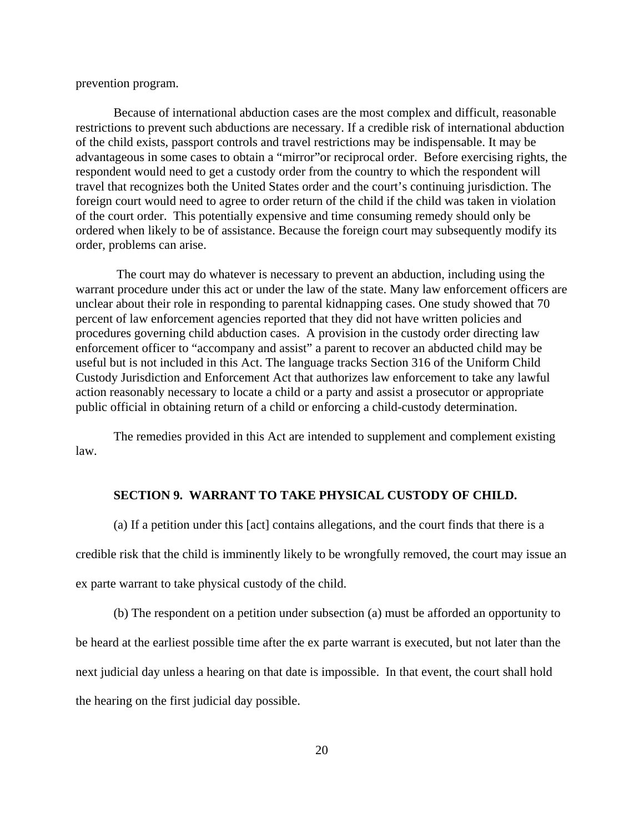prevention program.

Because of international abduction cases are the most complex and difficult, reasonable restrictions to prevent such abductions are necessary. If a credible risk of international abduction of the child exists, passport controls and travel restrictions may be indispensable. It may be advantageous in some cases to obtain a "mirror"or reciprocal order. Before exercising rights, the respondent would need to get a custody order from the country to which the respondent will travel that recognizes both the United States order and the court's continuing jurisdiction. The foreign court would need to agree to order return of the child if the child was taken in violation of the court order. This potentially expensive and time consuming remedy should only be ordered when likely to be of assistance. Because the foreign court may subsequently modify its order, problems can arise.

 The court may do whatever is necessary to prevent an abduction, including using the warrant procedure under this act or under the law of the state. Many law enforcement officers are unclear about their role in responding to parental kidnapping cases. One study showed that 70 percent of law enforcement agencies reported that they did not have written policies and procedures governing child abduction cases. A provision in the custody order directing law enforcement officer to "accompany and assist" a parent to recover an abducted child may be useful but is not included in this Act. The language tracks Section 316 of the Uniform Child Custody Jurisdiction and Enforcement Act that authorizes law enforcement to take any lawful action reasonably necessary to locate a child or a party and assist a prosecutor or appropriate public official in obtaining return of a child or enforcing a child-custody determination.

The remedies provided in this Act are intended to supplement and complement existing law.

#### **SECTION 9. WARRANT TO TAKE PHYSICAL CUSTODY OF CHILD.**

(a) If a petition under this [act] contains allegations, and the court finds that there is a credible risk that the child is imminently likely to be wrongfully removed, the court may issue an ex parte warrant to take physical custody of the child.

(b) The respondent on a petition under subsection (a) must be afforded an opportunity to be heard at the earliest possible time after the ex parte warrant is executed, but not later than the next judicial day unless a hearing on that date is impossible. In that event, the court shall hold the hearing on the first judicial day possible.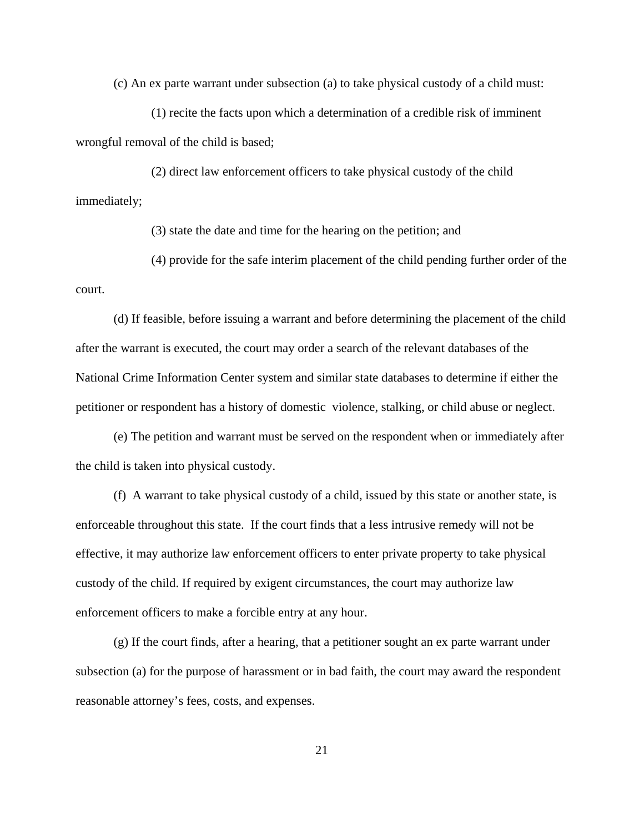(c) An ex parte warrant under subsection (a) to take physical custody of a child must:

(1) recite the facts upon which a determination of a credible risk of imminent wrongful removal of the child is based;

(2) direct law enforcement officers to take physical custody of the child immediately;

(3) state the date and time for the hearing on the petition; and

(4) provide for the safe interim placement of the child pending further order of the court.

(d) If feasible, before issuing a warrant and before determining the placement of the child after the warrant is executed, the court may order a search of the relevant databases of the National Crime Information Center system and similar state databases to determine if either the petitioner or respondent has a history of domestic violence, stalking, or child abuse or neglect.

(e) The petition and warrant must be served on the respondent when or immediately after the child is taken into physical custody.

(f) A warrant to take physical custody of a child, issued by this state or another state, is enforceable throughout this state. If the court finds that a less intrusive remedy will not be effective, it may authorize law enforcement officers to enter private property to take physical custody of the child. If required by exigent circumstances, the court may authorize law enforcement officers to make a forcible entry at any hour.

(g) If the court finds, after a hearing, that a petitioner sought an ex parte warrant under subsection (a) for the purpose of harassment or in bad faith, the court may award the respondent reasonable attorney's fees, costs, and expenses.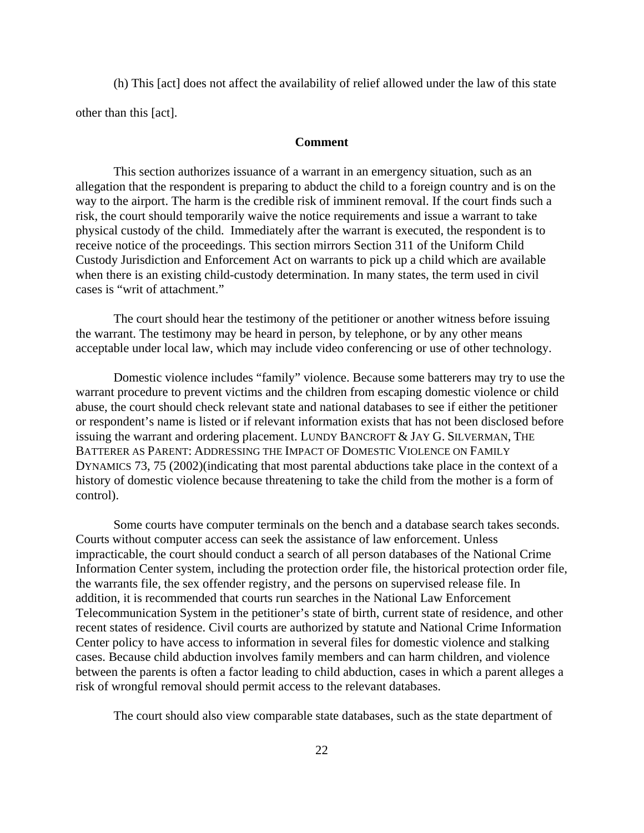(h) This [act] does not affect the availability of relief allowed under the law of this state other than this [act].

#### **Comment**

This section authorizes issuance of a warrant in an emergency situation, such as an allegation that the respondent is preparing to abduct the child to a foreign country and is on the way to the airport. The harm is the credible risk of imminent removal. If the court finds such a risk, the court should temporarily waive the notice requirements and issue a warrant to take physical custody of the child. Immediately after the warrant is executed, the respondent is to receive notice of the proceedings. This section mirrors Section 311 of the Uniform Child Custody Jurisdiction and Enforcement Act on warrants to pick up a child which are available when there is an existing child-custody determination. In many states, the term used in civil cases is "writ of attachment."

The court should hear the testimony of the petitioner or another witness before issuing the warrant. The testimony may be heard in person, by telephone, or by any other means acceptable under local law, which may include video conferencing or use of other technology.

Domestic violence includes "family" violence. Because some batterers may try to use the warrant procedure to prevent victims and the children from escaping domestic violence or child abuse, the court should check relevant state and national databases to see if either the petitioner or respondent's name is listed or if relevant information exists that has not been disclosed before issuing the warrant and ordering placement. LUNDY BANCROFT & JAY G. SILVERMAN, THE BATTERER AS PARENT: ADDRESSING THE IMPACT OF DOMESTIC VIOLENCE ON FAMILY DYNAMICS 73, 75 (2002)(indicating that most parental abductions take place in the context of a history of domestic violence because threatening to take the child from the mother is a form of control).

Some courts have computer terminals on the bench and a database search takes seconds. Courts without computer access can seek the assistance of law enforcement. Unless impracticable, the court should conduct a search of all person databases of the National Crime Information Center system, including the protection order file, the historical protection order file, the warrants file, the sex offender registry, and the persons on supervised release file. In addition, it is recommended that courts run searches in the National Law Enforcement Telecommunication System in the petitioner's state of birth, current state of residence, and other recent states of residence. Civil courts are authorized by statute and National Crime Information Center policy to have access to information in several files for domestic violence and stalking cases. Because child abduction involves family members and can harm children, and violence between the parents is often a factor leading to child abduction, cases in which a parent alleges a risk of wrongful removal should permit access to the relevant databases.

The court should also view comparable state databases, such as the state department of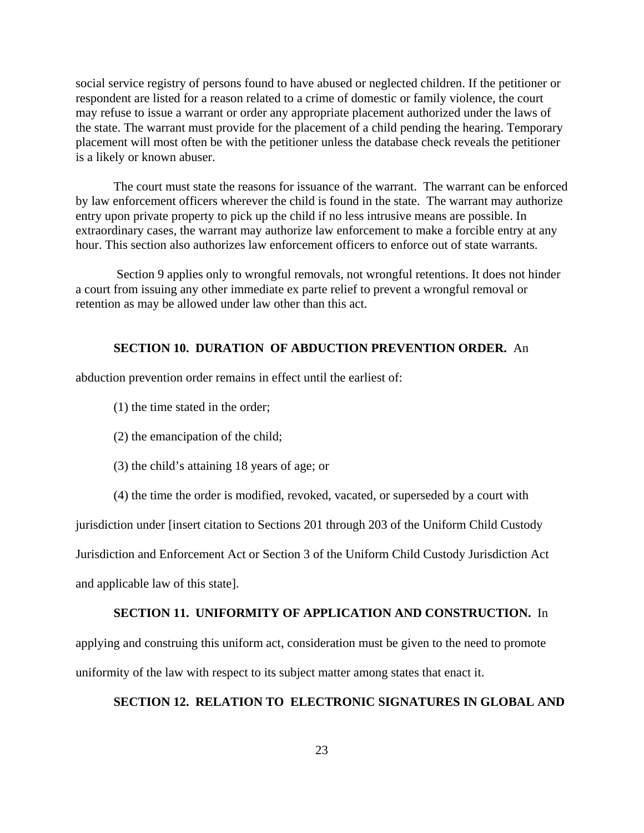social service registry of persons found to have abused or neglected children. If the petitioner or respondent are listed for a reason related to a crime of domestic or family violence, the court may refuse to issue a warrant or order any appropriate placement authorized under the laws of the state. The warrant must provide for the placement of a child pending the hearing. Temporary placement will most often be with the petitioner unless the database check reveals the petitioner is a likely or known abuser.

The court must state the reasons for issuance of the warrant. The warrant can be enforced by law enforcement officers wherever the child is found in the state. The warrant may authorize entry upon private property to pick up the child if no less intrusive means are possible. In extraordinary cases, the warrant may authorize law enforcement to make a forcible entry at any hour. This section also authorizes law enforcement officers to enforce out of state warrants.

 Section 9 applies only to wrongful removals, not wrongful retentions. It does not hinder a court from issuing any other immediate ex parte relief to prevent a wrongful removal or retention as may be allowed under law other than this act.

### **SECTION 10. DURATION OF ABDUCTION PREVENTION ORDER.** An

abduction prevention order remains in effect until the earliest of:

- (1) the time stated in the order;
- (2) the emancipation of the child;
- (3) the child's attaining 18 years of age; or
- (4) the time the order is modified, revoked, vacated, or superseded by a court with

jurisdiction under [insert citation to Sections 201 through 203 of the Uniform Child Custody

Jurisdiction and Enforcement Act or Section 3 of the Uniform Child Custody Jurisdiction Act and applicable law of this state].

#### **SECTION 11. UNIFORMITY OF APPLICATION AND CONSTRUCTION.** In

applying and construing this uniform act, consideration must be given to the need to promote uniformity of the law with respect to its subject matter among states that enact it.

### **SECTION 12. RELATION TO ELECTRONIC SIGNATURES IN GLOBAL AND**